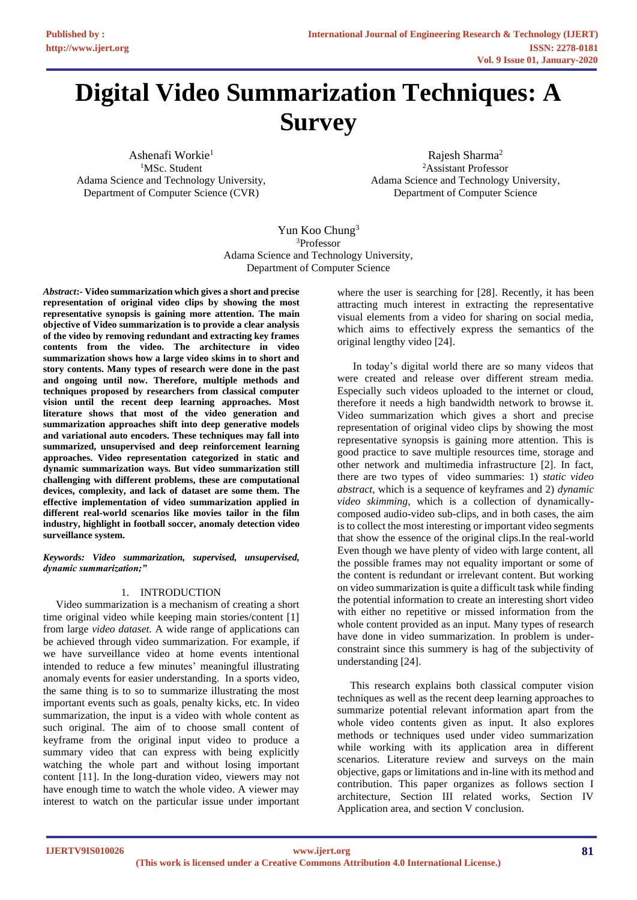# **Digital Video Summarization Techniques: A Survey**

Ashenafi Workie<sup>1</sup> <sup>1</sup>MSc. Student Adama Science and Technology University, Department of Computer Science (CVR)

Rajesh Sharma<sup>2</sup> <sup>2</sup>Assistant Professor Adama Science and Technology University, Department of Computer Science

Yun Koo Chung<sup>3</sup> <sup>3</sup>Professor Adama Science and Technology University, Department of Computer Science

*Abstract***:- Video summarization which gives a short and precise representation of original video clips by showing the most representative synopsis is gaining more attention. The main objective of Video summarization is to provide a clear analysis of the video by removing redundant and extracting key frames contents from the video. The architecture in video summarization shows how a large video skims in to short and story contents. Many types of research were done in the past and ongoing until now. Therefore, multiple methods and techniques proposed by researchers from classical computer vision until the recent deep learning approaches. Most literature shows that most of the video generation and summarization approaches shift into deep generative models and variational auto encoders. These techniques may fall into summarized, unsupervised and deep reinforcement learning approaches. Video representation categorized in static and dynamic summarization ways. But video summarization still challenging with different problems, these are computational devices, complexity, and lack of dataset are some them. The effective implementation of video summarization applied in different real-world scenarios like movies tailor in the film industry, highlight in football soccer, anomaly detection video surveillance system.**

*Keywords: Video summarization, supervised, unsupervised, dynamic summarization;"*

# 1. INTRODUCTION

Video summarization is a mechanism of creating a short time original video while keeping main stories/content [1] from large *video dataset.* A wide range of applications can be achieved through video summarization*.* For example, if we have surveillance video at home events intentional intended to reduce a few minutes' meaningful illustrating anomaly events for easier understanding. In a sports video, the same thing is to so to summarize illustrating the most important events such as goals, penalty kicks, etc. In video summarization, the input is a video with whole content as such original. The aim of to choose small content of keyframe from the original input video to produce a summary video that can express with being explicitly watching the whole part and without losing important content [11]. In the long-duration video, viewers may not have enough time to watch the whole video. A viewer may interest to watch on the particular issue under important where the user is searching for [28]. Recently, it has been attracting much interest in extracting the representative visual elements from a video for sharing on social media, which aims to effectively express the semantics of the original lengthy video [24].

In today's digital world there are so many videos that were created and release over different stream media. Especially such videos uploaded to the internet or cloud, therefore it needs a high bandwidth network to browse it. Video summarization which gives a short and precise representation of original video clips by showing the most representative synopsis is gaining more attention. This is good practice to save multiple resources time, storage and other network and multimedia infrastructure [2]. In fact, there are two types of video summaries: 1) *static video abstract*, which is a sequence of keyframes and 2) *dynamic video skimming*, which is a collection of dynamicallycomposed audio-video sub-clips, and in both cases, the aim is to collect the most interesting or important video segments that show the essence of the original clips.In the real-world Even though we have plenty of video with large content, all the possible frames may not equality important or some of the content is redundant or irrelevant content. But working on video summarization is quite a difficult task while finding the potential information to create an interesting short video with either no repetitive or missed information from the whole content provided as an input. Many types of research have done in video summarization. In problem is underconstraint since this summery is hag of the subjectivity of understanding [24].

This research explains both classical computer vision techniques as well as the recent deep learning approaches to summarize potential relevant information apart from the whole video contents given as input. It also explores methods or techniques used under video summarization while working with its application area in different scenarios. Literature review and surveys on the main objective, gaps or limitations and in-line with its method and contribution. This paper organizes as follows section I architecture, Section III related works, Section IV Application area, and section V conclusion.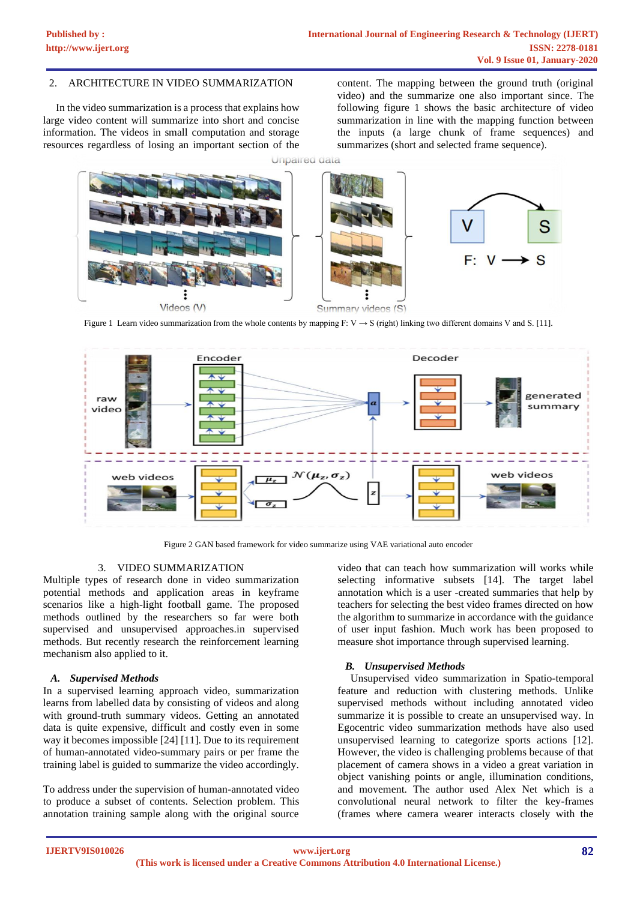# 2. ARCHITECTURE IN VIDEO SUMMARIZATION

In the video summarization is a process that explains how large video content will summarize into short and concise information. The videos in small computation and storage resources regardless of losing an important section of the

content. The mapping between the ground truth (original video) and the summarize one also important since. The following figure 1 shows the basic architecture of video summarization in line with the mapping function between the inputs (a large chunk of frame sequences) and summarizes (short and selected frame sequence).



Figure 1 Learn video summarization from the whole contents by mapping F: V  $\rightarrow$  S (right) linking two different domains V and S. [11].



Figure 2 GAN based framework for video summarize using VAE variational auto encoder

#### 3. VIDEO SUMMARIZATION

Multiple types of research done in video summarization potential methods and application areas in keyframe scenarios like a high-light football game. The proposed methods outlined by the researchers so far were both supervised and unsupervised approaches.in supervised methods. But recently research the reinforcement learning mechanism also applied to it.

#### *A. Supervised Methods*

In a supervised learning approach video, summarization learns from labelled data by consisting of videos and along with ground-truth summary videos. Getting an annotated data is quite expensive, difficult and costly even in some way it becomes impossible [24] [11]. Due to its requirement of human-annotated video-summary pairs or per frame the training label is guided to summarize the video accordingly.

To address under the supervision of human-annotated video to produce a subset of contents. Selection problem. This annotation training sample along with the original source video that can teach how summarization will works while selecting informative subsets [14]. The target label annotation which is a user -created summaries that help by teachers for selecting the best video frames directed on how the algorithm to summarize in accordance with the guidance of user input fashion. Much work has been proposed to measure shot importance through supervised learning.

#### *B. Unsupervised Methods*

Unsupervised video summarization in Spatio-temporal feature and reduction with clustering methods. Unlike supervised methods without including annotated video summarize it is possible to create an unsupervised way. In Egocentric video summarization methods have also used unsupervised learning to categorize sports actions [12]. However, the video is challenging problems because of that placement of camera shows in a video a great variation in object vanishing points or angle, illumination conditions, and movement. The author used Alex Net which is a convolutional neural network to filter the key-frames (frames where camera wearer interacts closely with the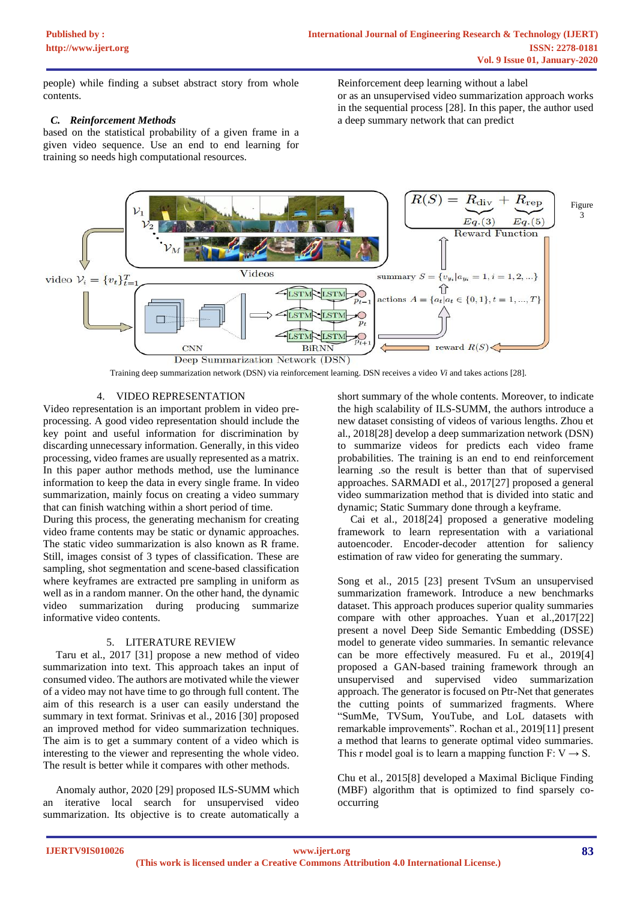people) while finding a subset abstract story from whole contents.

## *C. Reinforcement Methods*

based on the statistical probability of a given frame in a given video sequence. Use an end to end learning for training so needs high computational resources.

Reinforcement deep learning without a label or as an unsupervised video summarization approach works in the sequential process [28]. In this paper, the author used a deep summary network that can predict



Training deep summarization network (DSN) via reinforcement learning. DSN receives a video *Vi* and takes actions [28].

# 4. VIDEO REPRESENTATION

Video representation is an important problem in video preprocessing. A good video representation should include the key point and useful information for discrimination by discarding unnecessary information. Generally, in this video processing, video frames are usually represented as a matrix. In this paper author methods method, use the luminance information to keep the data in every single frame. In video summarization, mainly focus on creating a video summary that can finish watching within a short period of time.

During this process, the generating mechanism for creating video frame contents may be static or dynamic approaches. The static video summarization is also known as R frame. Still, images consist of 3 types of classification. These are sampling, shot segmentation and scene-based classification where keyframes are extracted pre sampling in uniform as well as in a random manner. On the other hand, the dynamic video summarization during producing summarize informative video contents.

## 5. LITERATURE REVIEW

Taru et al., 2017 [31] propose a new method of video summarization into text. This approach takes an input of consumed video. The authors are motivated while the viewer of a video may not have time to go through full content. The aim of this research is a user can easily understand the summary in text format. Srinivas et al., 2016 [30] proposed an improved method for video summarization techniques. The aim is to get a summary content of a video which is interesting to the viewer and representing the whole video. The result is better while it compares with other methods.

Anomaly author, 2020 [29] proposed ILS-SUMM which an iterative local search for unsupervised video summarization. Its objective is to create automatically a short summary of the whole contents. Moreover, to indicate the high scalability of ILS-SUMM, the authors introduce a new dataset consisting of videos of various lengths. Zhou et al., 2018[28] develop a deep summarization network (DSN) to summarize videos for predicts each video frame probabilities. The training is an end to end reinforcement learning .so the result is better than that of supervised approaches. SARMADI et al., 2017[27] proposed a general video summarization method that is divided into static and dynamic; Static Summary done through a keyframe.

Cai et al., 2018[24] proposed a generative modeling framework to learn representation with a variational autoencoder. Encoder-decoder attention for saliency estimation of raw video for generating the summary.

Song et al., 2015 [23] present TvSum an unsupervised summarization framework. Introduce a new benchmarks dataset. This approach produces superior quality summaries compare with other approaches. Yuan et al.,2017[22] present a novel Deep Side Semantic Embedding (DSSE) model to generate video summaries. In semantic relevance can be more effectively measured. Fu et al., 2019[4] proposed a GAN-based training framework through an unsupervised and supervised video summarization approach. The generator is focused on Ptr-Net that generates the cutting points of summarized fragments. Where "SumMe, TVSum, YouTube, and LoL datasets with remarkable improvements". Rochan et al., 2019[11] present a method that learns to generate optimal video summaries. This r model goal is to learn a mapping function  $F: V \rightarrow S$ .

Chu et al., 2015[8] developed a Maximal Biclique Finding (MBF) algorithm that is optimized to find sparsely cooccurring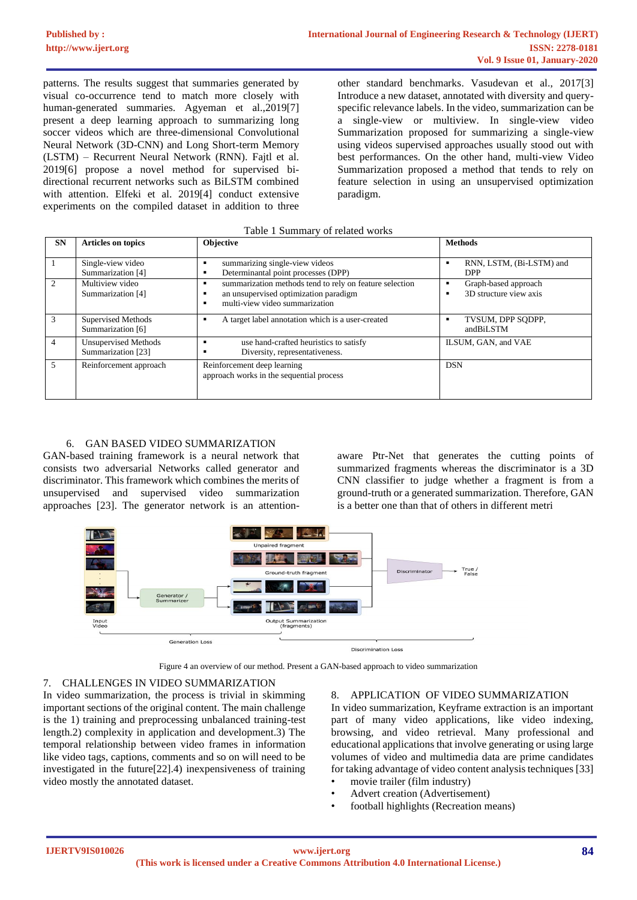patterns. The results suggest that summaries generated by visual co-occurrence tend to match more closely with human-generated summaries. Agyeman et al.,2019[7] present a deep learning approach to summarizing long soccer videos which are three-dimensional Convolutional Neural Network (3D-CNN) and Long Short-term Memory (LSTM) – Recurrent Neural Network (RNN). Fajtl et al. 2019[6] propose a novel method for supervised bidirectional recurrent networks such as BiLSTM combined with attention. Elfeki et al. 2019[4] conduct extensive experiments on the compiled dataset in addition to three

other standard benchmarks. Vasudevan et al., 2017[3] Introduce a new dataset, annotated with diversity and queryspecific relevance labels. In the video, summarization can be a single-view or multiview. In single-view video Summarization proposed for summarizing a single-view using videos supervised approaches usually stood out with best performances. On the other hand, multi-view Video Summarization proposed a method that tends to rely on feature selection in using an unsupervised optimization paradigm.

| <b>SN</b>      | <b>Articles on topics</b>                         | <b>Objective</b>                                                                                                                   | <b>Methods</b>                                 |
|----------------|---------------------------------------------------|------------------------------------------------------------------------------------------------------------------------------------|------------------------------------------------|
|                | Single-view video<br>Summarization [4]            | summarizing single-view videos<br>Determinantal point processes (DPP)                                                              | RNN, LSTM, (Bi-LSTM) and<br><b>DPP</b>         |
| $\mathfrak{D}$ | Multiview video<br>Summarization [4]              | summarization methods tend to rely on feature selection<br>an unsupervised optimization paradigm<br>multi-view video summarization | Graph-based approach<br>3D structure view axis |
| 3              | Supervised Methods<br>Summarization [6]           | A target label annotation which is a user-created                                                                                  | TVSUM, DPP SODPP.<br>andBiLSTM                 |
| 4              | <b>Unsupervised Methods</b><br>Summarization [23] | use hand-crafted heuristics to satisfy<br>Diversity, representativeness.                                                           | ILSUM, GAN, and VAE                            |
| 5              | Reinforcement approach                            | Reinforcement deep learning<br>approach works in the sequential process                                                            | <b>DSN</b>                                     |

# Table 1 Summary of related works

# 6. GAN BASED VIDEO SUMMARIZATION

GAN-based training framework is a neural network that consists two adversarial Networks called generator and discriminator. This framework which combines the merits of unsupervised and supervised video summarization approaches [23]. The generator network is an attentionaware Ptr-Net that generates the cutting points of summarized fragments whereas the discriminator is a 3D CNN classifier to judge whether a fragment is from a ground-truth or a generated summarization. Therefore, GAN is a better one than that of others in different metri



Figure 4 an overview of our method. Present a GAN-based approach to video summarization

## 7. CHALLENGES IN VIDEO SUMMARIZATION

In video summarization, the process is trivial in skimming important sections of the original content. The main challenge is the 1) training and preprocessing unbalanced training-test length.2) complexity in application and development.3) The temporal relationship between video frames in information like video tags, captions, comments and so on will need to be investigated in the future[22].4) inexpensiveness of training video mostly the annotated dataset.

#### 8. APPLICATION OF VIDEO SUMMARIZATION

In video summarization, Keyframe extraction is an important part of many video applications, like video indexing, browsing, and video retrieval. Many professional and educational applications that involve generating or using large volumes of video and multimedia data are prime candidates for taking advantage of video content analysis techniques [33]

- movie trailer (film industry)
- Advert creation (Advertisement)
- football highlights (Recreation means)